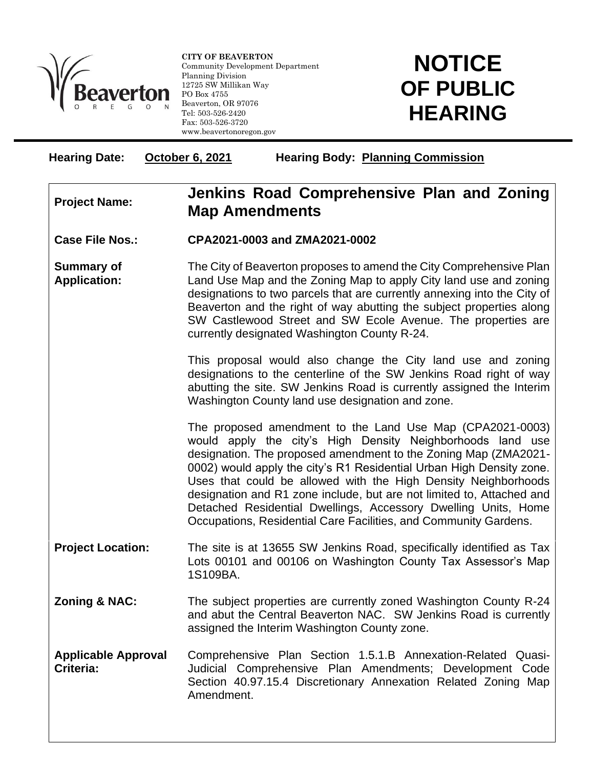

l

**CITY OF BEAVERTON** Community Development Department Planning Division 12725 SW Millikan Way PO Box 4755 Beaverton, OR 97076 Tel: 503-526-2420 Fax: 503-526-3720 www.beavertonoregon.gov

## **NOTICE OF PUBLIC HEARING**

| <b>Hearing Date:</b>                     | October 6, 2021<br><b>Hearing Body: Planning Commission</b>                                                                                                                                                                                                                                                                                                                                                                                                                                                                                         |
|------------------------------------------|-----------------------------------------------------------------------------------------------------------------------------------------------------------------------------------------------------------------------------------------------------------------------------------------------------------------------------------------------------------------------------------------------------------------------------------------------------------------------------------------------------------------------------------------------------|
| <b>Project Name:</b>                     | Jenkins Road Comprehensive Plan and Zoning<br><b>Map Amendments</b>                                                                                                                                                                                                                                                                                                                                                                                                                                                                                 |
| <b>Case File Nos.:</b>                   | CPA2021-0003 and ZMA2021-0002                                                                                                                                                                                                                                                                                                                                                                                                                                                                                                                       |
| <b>Summary of</b><br><b>Application:</b> | The City of Beaverton proposes to amend the City Comprehensive Plan<br>Land Use Map and the Zoning Map to apply City land use and zoning<br>designations to two parcels that are currently annexing into the City of<br>Beaverton and the right of way abutting the subject properties along<br>SW Castlewood Street and SW Ecole Avenue. The properties are<br>currently designated Washington County R-24.                                                                                                                                        |
|                                          | This proposal would also change the City land use and zoning<br>designations to the centerline of the SW Jenkins Road right of way<br>abutting the site. SW Jenkins Road is currently assigned the Interim<br>Washington County land use designation and zone.                                                                                                                                                                                                                                                                                      |
|                                          | The proposed amendment to the Land Use Map (CPA2021-0003)<br>would apply the city's High Density Neighborhoods land use<br>designation. The proposed amendment to the Zoning Map (ZMA2021-<br>0002) would apply the city's R1 Residential Urban High Density zone.<br>Uses that could be allowed with the High Density Neighborhoods<br>designation and R1 zone include, but are not limited to, Attached and<br>Detached Residential Dwellings, Accessory Dwelling Units, Home<br>Occupations, Residential Care Facilities, and Community Gardens. |
| <b>Project Location:</b>                 | The site is at 13655 SW Jenkins Road, specifically identified as Tax<br>Lots 00101 and 00106 on Washington County Tax Assessor's Map<br>1S109BA.                                                                                                                                                                                                                                                                                                                                                                                                    |
| <b>Zoning &amp; NAC:</b>                 | The subject properties are currently zoned Washington County R-24<br>and abut the Central Beaverton NAC. SW Jenkins Road is currently<br>assigned the Interim Washington County zone.                                                                                                                                                                                                                                                                                                                                                               |
| <b>Applicable Approval</b><br>Criteria:  | Comprehensive Plan Section 1.5.1.B Annexation-Related Quasi-<br>Judicial Comprehensive Plan Amendments; Development Code<br>Section 40.97.15.4 Discretionary Annexation Related Zoning Map<br>Amendment.                                                                                                                                                                                                                                                                                                                                            |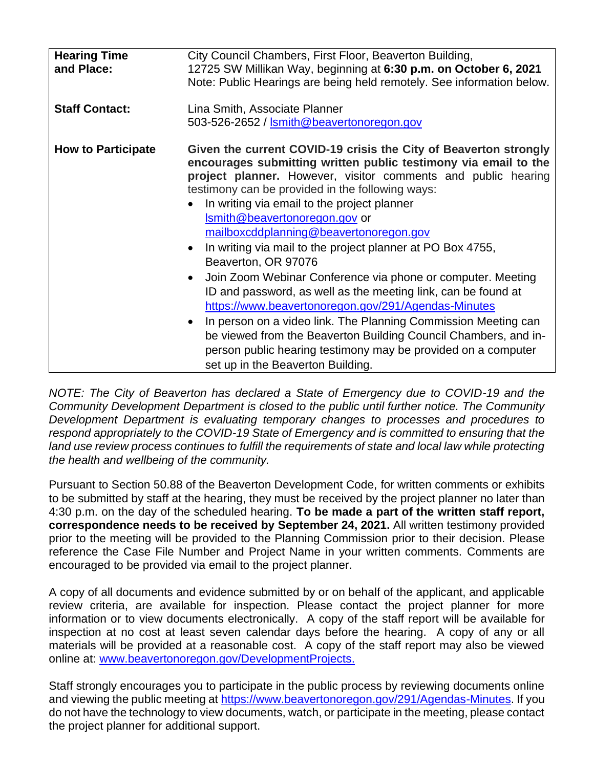| <b>Hearing Time</b><br>and Place: | City Council Chambers, First Floor, Beaverton Building,<br>12725 SW Millikan Way, beginning at 6:30 p.m. on October 6, 2021<br>Note: Public Hearings are being held remotely. See information below.                                                                                                                                                                                                                                                                                                                                                                                                                                                                                                                                                                                                                                                                                                                                             |
|-----------------------------------|--------------------------------------------------------------------------------------------------------------------------------------------------------------------------------------------------------------------------------------------------------------------------------------------------------------------------------------------------------------------------------------------------------------------------------------------------------------------------------------------------------------------------------------------------------------------------------------------------------------------------------------------------------------------------------------------------------------------------------------------------------------------------------------------------------------------------------------------------------------------------------------------------------------------------------------------------|
| <b>Staff Contact:</b>             | Lina Smith, Associate Planner<br>503-526-2652 / Ismith@beavertonoregon.gov                                                                                                                                                                                                                                                                                                                                                                                                                                                                                                                                                                                                                                                                                                                                                                                                                                                                       |
| <b>How to Participate</b>         | Given the current COVID-19 crisis the City of Beaverton strongly<br>encourages submitting written public testimony via email to the<br>project planner. However, visitor comments and public hearing<br>testimony can be provided in the following ways:<br>In writing via email to the project planner<br>Ismith@beavertonoregon.gov or<br>mailboxcddplanning@beavertonoregon.gov<br>In writing via mail to the project planner at PO Box 4755,<br>$\bullet$<br>Beaverton, OR 97076<br>Join Zoom Webinar Conference via phone or computer. Meeting<br>$\bullet$<br>ID and password, as well as the meeting link, can be found at<br>https://www.beavertonoregon.gov/291/Agendas-Minutes<br>In person on a video link. The Planning Commission Meeting can<br>$\bullet$<br>be viewed from the Beaverton Building Council Chambers, and in-<br>person public hearing testimony may be provided on a computer<br>set up in the Beaverton Building. |

*NOTE: The City of Beaverton has declared a State of Emergency due to COVID-19 and the Community Development Department is closed to the public until further notice. The Community Development Department is evaluating temporary changes to processes and procedures to respond appropriately to the COVID-19 State of Emergency and is committed to ensuring that the*  land use review process continues to fulfill the requirements of state and local law while protecting *the health and wellbeing of the community.*

Pursuant to Section 50.88 of the Beaverton Development Code, for written comments or exhibits to be submitted by staff at the hearing, they must be received by the project planner no later than 4:30 p.m. on the day of the scheduled hearing. **To be made a part of the written staff report, correspondence needs to be received by September 24, 2021.** All written testimony provided prior to the meeting will be provided to the Planning Commission prior to their decision. Please reference the Case File Number and Project Name in your written comments. Comments are encouraged to be provided via email to the project planner.

A copy of all documents and evidence submitted by or on behalf of the applicant, and applicable review criteria, are available for inspection. Please contact the project planner for more information or to view documents electronically. A copy of the staff report will be available for inspection at no cost at least seven calendar days before the hearing. A copy of any or all materials will be provided at a reasonable cost. A copy of the staff report may also be viewed online at: [www.beavertonoregon.gov/DevelopmentProjects.](http://www.beavertonoregon.gov/DevelopmentProjects)

Staff strongly encourages you to participate in the public process by reviewing documents online and viewing the public meeting at [https://www.beavertonoregon.gov/291/Agendas-Minutes.](https://www.beavertonoregon.gov/291/Agendas-Minutes) If you do not have the technology to view documents, watch, or participate in the meeting, please contact the project planner for additional support.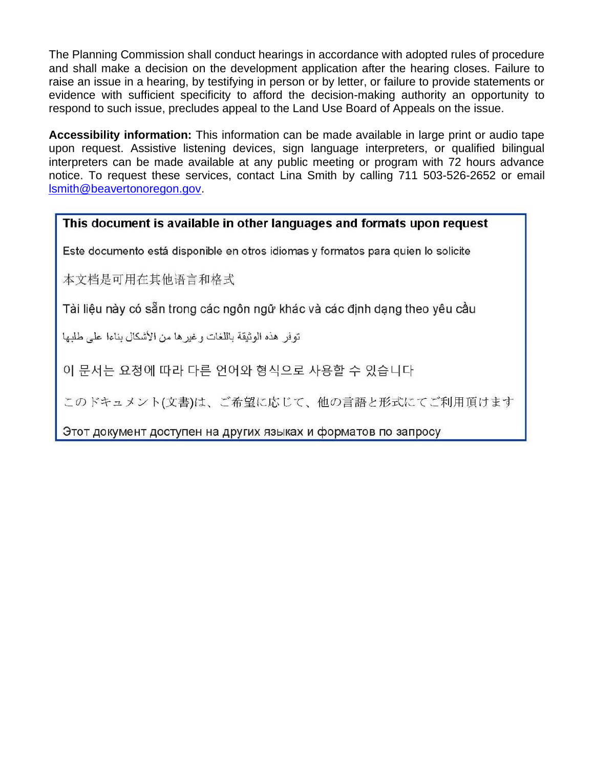The Planning Commission shall conduct hearings in accordance with adopted rules of procedure and shall make a decision on the development application after the hearing closes. Failure to raise an issue in a hearing, by testifying in person or by letter, or failure to provide statements or evidence with sufficient specificity to afford the decision-making authority an opportunity to respond to such issue, precludes appeal to the Land Use Board of Appeals on the issue.

Accessibility information: This information can be made available in large print or audio tape upon request. Assistive listening devices, sign language interpreters, or qualified bilingual interpreters can be made available at any public meeting or program with 72 hours advance notice. To request these services, contact Lina Smith by calling 711 503-526-2652 or email Ismith@beavertonoregon.gov.

## This document is available in other languages and formats upon request

Este documento está disponible en otros idiomas y formatos para quien lo solicite

本文档是可用在其他语言和格式

Tài liệu này có sẵn trong các ngôn ngữ khác và các định dạng theo yêu cầu

توفر ٍ هذه الوثيقة باللغات و غير ها من الأشكال بناءا على طلبها

이 문서는 요청에 따라 다른 언어와 형식으로 사용할 수 있습니다

このドキュメント(文書)は、ご希望に応じて、他の言語と形式にてご利用頂けます

Этот документ доступен на других языках и форматов по запросу